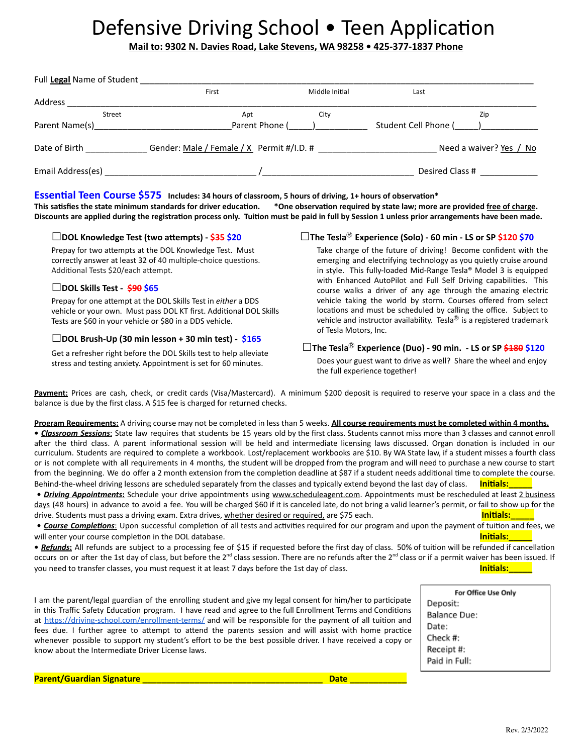# Defensive Driving School . Teen Application

**Mail to: 9302 N. Davies Road, Lake Stevens, WA 98258 • 425-377-1837 Phone**

| Full Legal Name of Student |                                           |                |                         |     |
|----------------------------|-------------------------------------------|----------------|-------------------------|-----|
|                            | First                                     | Middle Initial | Last                    |     |
| Address                    |                                           |                |                         |     |
| Street                     | Apt                                       | City           |                         | Zip |
| Parent Name(s)             | Parent Phone (                            |                | Student Cell Phone (    |     |
| Date of Birth              | Gender: Male / Female / X Permit #/I.D. # |                | Need a waiver? Yes / No |     |
| Email Address(es)          |                                           |                | Desired Class #         |     |

# **Essential Teen Course \$575** Includes: 34 hours of classroom, 5 hours of driving, 1+ hours of observation\*

This satisfies the state minimum standards for driver education. \*One observation required by state law; more are provided free of charge. Discounts are applied during the registration process only. Tuition must be paid in full by Session 1 unless prior arrangements have been made.

#### **□DOL Knowledge Test (two aempts) - \$35 \$20**

Prepay for two attempts at the DOL Knowledge Test. Must correctly answer at least 32 of 40 multiple-choice questions. Additional Tests \$20/each attempt.

### **□DOL Skills Test - \$90 \$65**

Prepay for one attempt at the DOL Skills Test in *either* a DDS vehicle or your own. Must pass DOL KT first. Additional DOL Skills Tests are \$60 in your vehicle or \$80 in a DDS vehicle.

#### **□DOL Brush-Up (30 min lesson <sup>+</sup> <sup>30</sup> min test) - \$165**

Get a refresher right before the DOL Skills test to help alleviate stress and testing anxiety. Appointment is set for 60 minutes.

# **□The Tesla**Ⓡ **Experience (Solo) - <sup>60</sup> min - LS or SP \$120 \$70**

Take charge of the future of driving! Become confident with the emerging and electrifying technology as you quietly cruise around in style. This fully-loaded Mid-Range Tesla® Model 3 is equipped with Enhanced AutoPilot and Full Self Driving capabilities. This course walks a driver of any age through the amazing electric vehicle taking the world by storm. Courses offered from select locations and must be scheduled by calling the office. Subject to vehicle and instructor availability. Tesla $^{\circledR}$  is a registered trademark of Tesla Motors, Inc.

# **□The Tesla**Ⓡ **Experience (Duo) - <sup>90</sup> min. - LS or SP \$180 \$120**

Does your guest want to drive as well? Share the wheel and enjoy the full experience together!

**Payment:** Prices are cash, check, or credit cards (Visa/Mastercard). A minimum \$200 deposit is required to reserve your space in a class and the balance is due by the first class. A \$15 fee is charged for returned checks.

**Program Requirements:** A driving course may not be completed in less than 5 weeks. **All course requirements must be completed within 4 months. •** *Classroom Sessions*: State law requires that students be 15 years old by the first class. Students cannot miss more than 3 classes and cannot enroll after the third class. A parent informational session will be held and intermediate licensing laws discussed. Organ donation is included in our curriculum. Students are required to complete a workbook. Lost/replacement workbooks are \$10. By WA State law, if a student misses a fourth class or is not complete with all requirements in 4 months, the student will be dropped from the program and will need to purchase a new course to start from the beginning. We do offer a 2 month extension from the completion deadline at \$87 if a student needs additional time to complete the course. Behind-the-wheel driving lessons are scheduled separately from the classes and typically extend beyond the last day of class. **Initials:** 

**•** *Driving Appointments***:** Schedule your drive appointments using www.scheduleagent.com. Appointments must be rescheduled at least 2 business days (48 hours) in advance to avoid a fee. You will be charged \$60 if it is canceled late, do not bring a valid learner's permit, or fail to show up for the drive. Students must pass a driving exam. Extra drives, whether desired or required, are \$75 each. **Initials: Initials:** 

• **Course Completions**: Upon successful completion of all tests and activities required for our program and upon the payment of tuition and fees, we will enter your course completion in the DOL database. **Initials: Initials: Initials:** 

• Refunds: All refunds are subject to a processing fee of \$15 if requested before the first day of class. 50% of tuition will be refunded if cancellation occurs on or after the 1st day of class, but before the 2<sup>nd</sup> class session. There are no refunds after the 2<sup>nd</sup> class or if a permit waiver has been issued. If you need to transfer classes, you must request it at least 7 days before the 1st day of class. **Inimials:** Initials:

I am the parent/legal guardian of the enrolling student and give my legal consent for him/her to participate in this Traffic Safety Education program. I have read and agree to the full Enrollment Terms and Conditions at https://driving-school.com/enrollment-terms/ and will be responsible for the payment of all tuition and fees due. I further agree to attempt to attend the parents session and will assist with home practice whenever possible to support my student's effort to be the best possible driver. I have received a copy or know about the Intermediate Driver License laws.

For Office Use Only Deposit: **Balance Due:** Date: Check #: Receipt #: Paid in Full:

**Parent/Guardian Signature \_\_\_\_\_\_\_\_\_\_\_\_\_\_\_\_\_\_\_\_\_\_\_\_\_\_\_\_\_\_\_\_\_\_\_\_\_\_ Date \_\_\_\_\_\_\_\_\_\_\_\_**